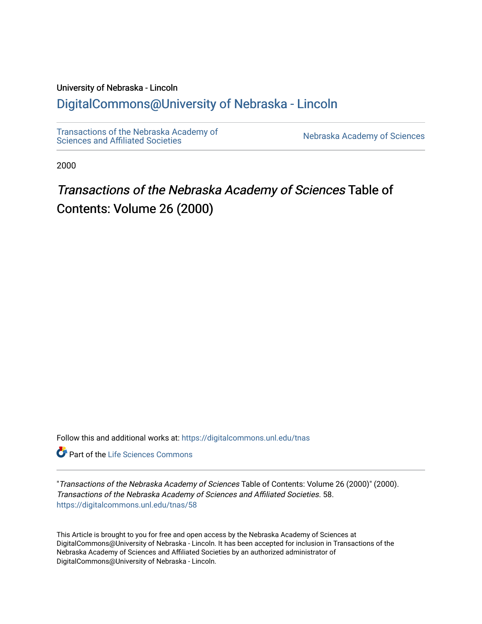### University of Nebraska - Lincoln

### [DigitalCommons@University of Nebraska - Lincoln](https://digitalcommons.unl.edu/)

[Transactions of the Nebraska Academy of](https://digitalcommons.unl.edu/tnas)  Transactions of the Nebraska Academy of Sciences<br>Sciences and Affiliated Societies

2000

# Transactions of the Nebraska Academy of Sciences Table of Contents: Volume 26 (2000)

Follow this and additional works at: [https://digitalcommons.unl.edu/tnas](https://digitalcommons.unl.edu/tnas?utm_source=digitalcommons.unl.edu%2Ftnas%2F58&utm_medium=PDF&utm_campaign=PDFCoverPages) 

**Part of the Life Sciences Commons** 

"Transactions of the Nebraska Academy of Sciences Table of Contents: Volume 26 (2000)" (2000). Transactions of the Nebraska Academy of Sciences and Affiliated Societies. 58. [https://digitalcommons.unl.edu/tnas/58](https://digitalcommons.unl.edu/tnas/58?utm_source=digitalcommons.unl.edu%2Ftnas%2F58&utm_medium=PDF&utm_campaign=PDFCoverPages)

This Article is brought to you for free and open access by the Nebraska Academy of Sciences at DigitalCommons@University of Nebraska - Lincoln. It has been accepted for inclusion in Transactions of the Nebraska Academy of Sciences and Affiliated Societies by an authorized administrator of DigitalCommons@University of Nebraska - Lincoln.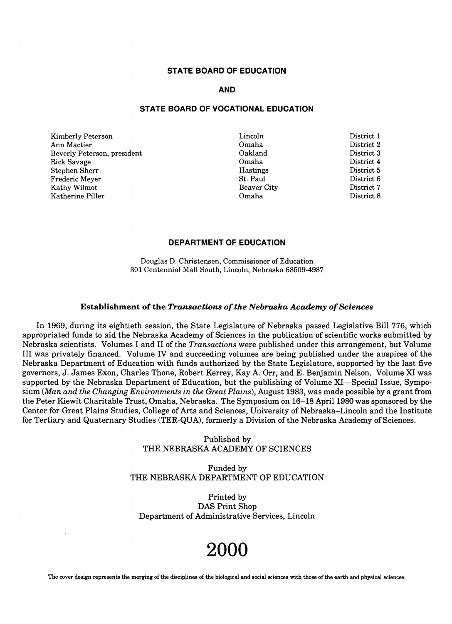#### **STATE BOARD OF EDUCATION**

#### **AND**

#### **STATE BOARD OF VOCATIONAL EDUCATION**

Kimberly Peterson Ann Mactier Beverly Peterson, president Rick Savage Stephen Sherr Frederic Meyer Kathy Wilmot Katherine Piller

Lincoln Omaha Oakland Omaha Hastings St. Paul Beaver City Omaha

District 1 District 2 District 3 District 4 District 5 District 6 District 7 District 8

#### **DEPARTMENT OF EDUCATION**

Douglas D. Christensen, Commissioner of Education 301 Centennial Mall South, Lincoln, Nebraska 68509-4987

#### Establishment of the *Transactions of the Nebraska Academy of Sciences*

In 1969, during its eightieth session, the State Legislature of Nebraska passed Legislative Bill 776, which appropriated funds to aid the Nebraska Academy of Sciences in the publication of scientific works submitted by Nebraska scientists. Volumes I and II of the *Transactions* were published under this arrangement, but Volume III was privately financed. Volume IV and succeeding volumes are being published under the auspices of the Nebraska Department of Education with funds authorized by the State Legislature, supported by the last five governors, J. James Exon, Charles Thone, Robert Kerrey, Kay A. Orr, and E. Benjamin Nelson. Volume XI was supported by the Nebraska Department of Education, but the publishing of Volume XI-Special Issue, Symposium *(Man and the Changing Environments in the Great Plains),* August 1983, was made possible by a grant from the Peter Kiewit Charitable Trust, Omaha, Nebraska. The Symposium on 16-18 April 1980 was sponsored by the Center for Great Plains Studies, College of Arts and Sciences, University of Nebraska-Lincoln and the Institute for Tertiary and Quaternary Studies (TER-QUA), formerly a Division of the Nebraska Academy of Sciences.

> Published by THE NEBRASKA ACADEMY OF SCIENCES

Funded by THE NEBRASKA DEPARTMENT OF EDUCATION

Printed by DAS Print Shop Department of Administrative Services, Lincoln

# **2000**

The cover design represents the merging of the disciplines of the biological and social sciences with those of the earth and physical sciences.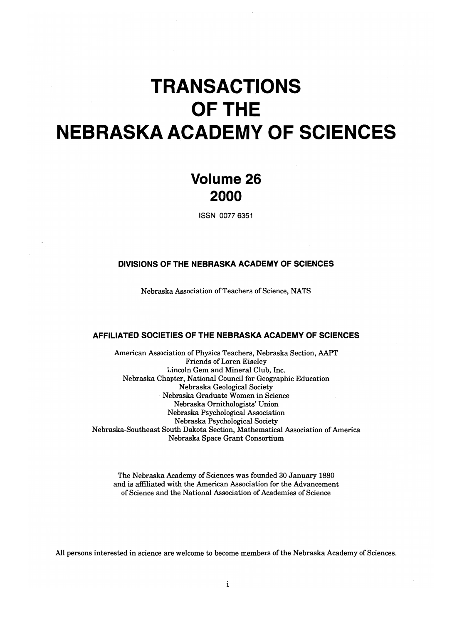# **TRANSACTIONS OFTHE NEBRASKA ACADEMY OF SCIENCES**

# **Volume 26 2000**

ISSN 0077 6351

#### **DIVISIONS OF THE NEBRASKA ACADEMY OF SCIENCES**

Nebraska Association of Teachers of Science, NATS

#### **AFFILIATED SOCIETIES OF THE NEBRASKA ACADEMY OF SCIENCES**

American Association of Physics Teachers, Nebraska Section, AAPT Friends of Loren Eiseley Lincoln Gem and Mineral Club, Inc. Nebraska Chapter, National Council for Geographic Education Nebraska Geological Society Nebraska Graduate Women in Science Nebraska Ornithologists' Union Nebraska Psychological Association Nebraska Psychological Society Nebraska-Southeast South Dakota Section, Mathematical Association of America Nebraska Space Grant Consortium

The Nebraska Academy of Sciences was founded 30 January 1880 and is affiliated with the American Association for the Advancement of Science and the National Association of Academies of Science

All persons interested in science are welcome to become members of the Nebraska Academy of Sciences.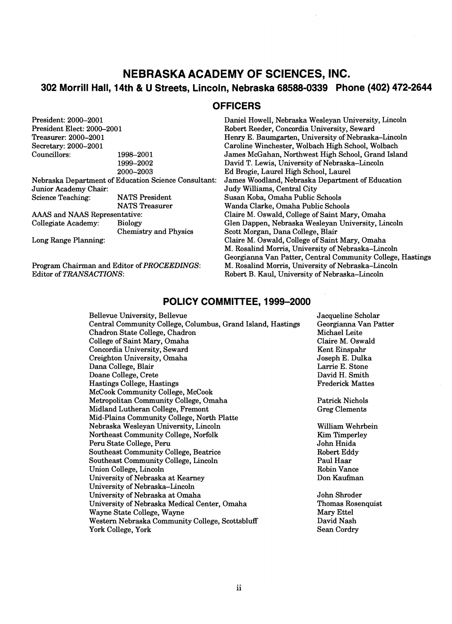### **NEBRASKA ACADEMY OF SCIENCES, INC. 302 Morrill Hall, 14th & U Streets, Lincoln, Nebraska 68588-0339 Phone (402) 472-2644**

#### **OFFICERS**

President: 2000-2001 President Elect: 2000-2001 Treasurer: 2000-2001 Secretary: 2000-2001 Councillors: 1998-2001 1999-2002 2000-2003 Nebraska Department of Education Science Consultant: Junior Academy Chair: Science Teaching: NATS President NATS Treasurer AAAS and NAAS Representative: Collegiate Academy: Biology Chemistry and Physics Long Range Planning:

Program Chairman and Editor of *PROCEEDINGS:*  Editor of *TRANSACTIONS:* 

Daniel Howell, Nebraska Wesleyan University, Lincoln Robert Reeder, Concordia University, Seward Henry E. Baumgarten, University of Nebraska-Lincoln Caroline Winchester, Wolbach High School, Wolbach James McGahan, Northwest High School, Grand Island David T. Lewis, University of Nebraska-Lincoln Ed Brogie, Laurel High School, Laurel James Woodland, Nebraska Department of Education Judy Williams, Central City Susan Koba, Omaha Public Schools Wanda Clarke, Omaha Public Schools Claire M. Oswald, College of Saint Mary, Omaha Glen Dappen, Nebraska Wesleyan University, Lincoln Scott Morgan, Dana College, Blair Claire M. Oswald, College of Saint Mary, Omaha M. Rosalind Morris, University of Nebraska-Lincoln Georgianna Van Patter, Central Community College, Hastings M. Rosalind Morris, University of Nebraska-Lincoln Robert B. Kaul, University of Nebraska-Lincoln

#### **POLICY COMMITTEE, 1999-2000**

Bellevue University, Bellevue Central Community College, Columbus, Grand Island, Hastings Chadron State College, Chadron College of Saint Mary, Omaha Concordia University, Seward Creighton University, Omaha Dana College, Blair Doane College, Crete Hastings College, Hastings McCook Community College, McCook Metropolitan Community College, Omaha Midland Lutheran College, Fremont Mid-Plains Community College, North Platte Nebraska Wesleyan University, Lincoln Northeast Community College, Norfolk Peru State College, Peru Southeast Community College, Beatrice Southeast Community College, Lincoln Union College, Lincoln University of Nebraska at Kearney University of Nebraska-Lincoln University of Nebraska at Omaha University of Nebraska Medical Center, Omaha Wayne State College, Wayne Western Nebraska Community College, Scottsbluff York College, York

Jacqueline Scholar Georgianna Van Patter Michael Leite Claire M. Oswald Kent Einspahr Joseph E. Dulka Larrie E. Stone David H. Smith Frederick Mattes

Patrick Nichols Greg Clements

William Wehrbein Kim Timperley John Hnida Robert Eddy Paul Haar Robin Vance Don Kaufman

John Shroder Thomas Rosenquist Mary Ettel David Nash Sean Cordry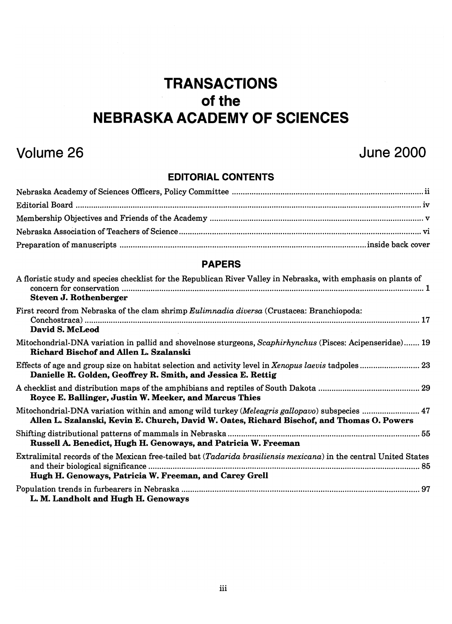# **TRANSACTIONS**  of the **NEBRASKA ACADEMY OF SCIENCES**

# Volume 26

# June 2000

### EDITORIAL CONTENTS

#### PAPERS

| A floristic study and species checklist for the Republican River Valley in Nebraska, with emphasis on plants of<br>Steven J. Rothenberger                                                   |
|---------------------------------------------------------------------------------------------------------------------------------------------------------------------------------------------|
| First record from Nebraska of the clam shrimp Eulimnadia diversa (Crustacea: Branchiopoda:<br>David S. McLeod                                                                               |
| Mitochondrial-DNA variation in pallid and shovelnose sturgeons, Scaphirhynchus (Pisces: Acipenseridae) 19<br>Richard Bischof and Allen L. Szalanski                                         |
| Danielle R. Golden, Geoffrey R. Smith, and Jessica E. Rettig                                                                                                                                |
| Royce E. Ballinger, Justin W. Meeker, and Marcus Thies                                                                                                                                      |
| Mitochondrial-DNA variation within and among wild turkey (Meleagris gallopavo) subspecies  47<br>Allen L. Szalanski, Kevin E. Church, David W. Oates, Richard Bischof, and Thomas O. Powers |
| Russell A. Benedict, Hugh H. Genoways, and Patricia W. Freeman                                                                                                                              |
| Extralimital records of the Mexican free-tailed bat (Tadarida brasiliensis mexicana) in the central United States<br>Hugh H. Genoways, Patricia W. Freeman, and Carey Grell                 |
| L. M. Landholt and Hugh H. Genoways                                                                                                                                                         |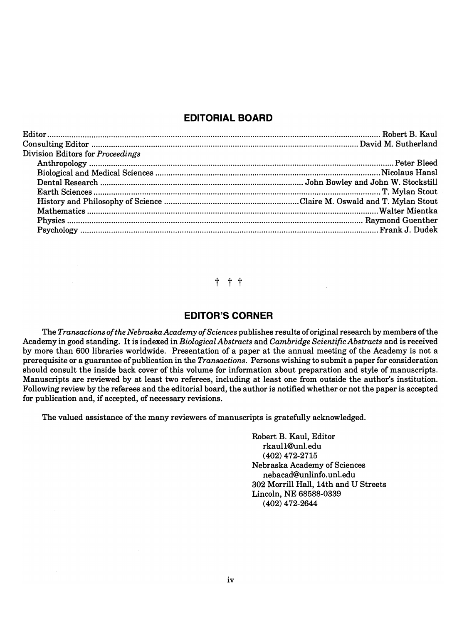#### **EDITORIAL BOARD**

| Division Editors for Proceedings |  |
|----------------------------------|--|
|                                  |  |
|                                  |  |
|                                  |  |
|                                  |  |
|                                  |  |
|                                  |  |
|                                  |  |
|                                  |  |

#### t t t

#### **EDITOR'S CORNER**

The *Transactions of the Nebraska Academy of Sciences* publishes results of original research by members of the Academy in good standing. It is indexed in *Biological Abstracts* and *Cambridge Scientific Abstracts* and is received by more than 600 libraries worldwide. Presentation of a paper at the annual meeting of the Academy is not a prerequisite or a guarantee of publication in the *Transactions.* Persons wishing to submit a paper for consideration should consult the inside back cover of this volume for information about preparation and style of manuscripts. Manuscripts are reviewed by at least two referees, including at least one from outside the author's institution. Following review by the referees and the editorial board, the author is notified whether or not the paper is accepted for publication and, if accepted, of necessary revisions.

The valued assistance of the many reviewers of manuscripts is gratefully acknowledged.

Robert B. Kaul, Editor rkaul1@unl.edu (402) 472-2715 Nebraska Academy of Sciences nebacad@Unlinfo.unl.edu 302 Morrill Hall, 14th and U Streets Lincoln, NE 68588-0339 (402) 472-2644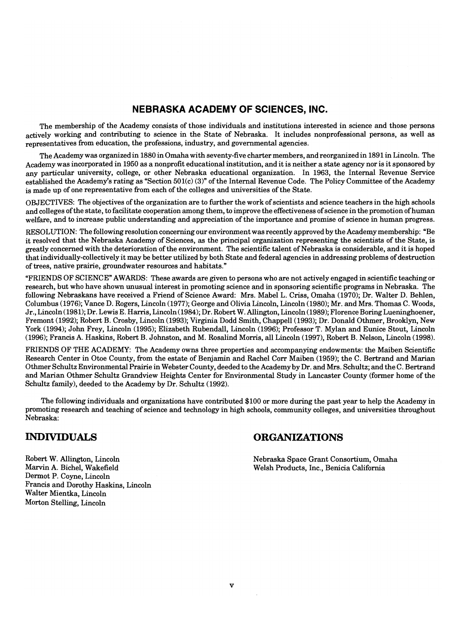#### **NEBRASKA ACADEMY OF SCIENCES, INC.**

The membership of the Academy consists of those individuals and institutions interested in science and those persons actively working and contributing to science in the State of Nebraska. It includes nonprofessional persons, as well as representatives from education, the professions, industry, and governmental agencies.

The Academy was organized in 1880 in Omaha with seventy-five charter members, and reorganized in 1891 in Lincoln. The Academy was incorporated in 1950 as a nonprofit educational institution, and it is neither a state agency nor is it sponsored by any particular university, college, or other Nebraska educational organization. In 1963, the Internal Revenue Service established the Academy's rating as "Section 501(c) (3)" of the Internal Revenue Code. The Policy Committee of the Academy is made up of one representative from each of the colleges and universities of the State.

OBJECTIVES: The objectives of the organization are to further the work of scientists and science teachers in the high schools and colleges of the state, to facilitate cooperation among them, to improve the effectiveness of science in the promotion of human welfare, and to increase public understanding and appreciation of the importance and promise of science in human progress.

RESOLUTION: The following resolution concerning our environment was recently approved by the Academy membership: "Be it resolved that the Nebraska Academy of Sciences, as the principal organization representing the scientists of the State, is greatly concerned with the deterioration of the environment. The scientific talent of Nebraska is considerable, and it is hoped that individually-collectively it may be better utilized by both State and federal agencies in addressing problems of destruction of trees, native prairie, groundwater resources and habitats."

"FRIENDS OF SCIENCE" AWARDS: These awards are given to persons who are not actively engaged in scientific teaching or research, but who have shown unusual interest in promoting science and in sponsoring scientific programs in Nebraska. The following Nebraskans have received a Friend of Science Award: Mrs. Mabel L. Criss, Omaha (1970); Dr. Walter D. Behlen, Columbus (1976); Vance D. Rogers, Lincoln (1977); George and Olivia Lincoln, Lincoln (1980); Mr. and Mrs. Thomas C. Woods, Jr., Lincoln (1981); Dr. Lewis E. Harris, Lincoln (1984); Dr. Robert W. Allington, Lincoln (1989); Florence Boring Lueninghoener, Fremont (1992); Robert B. Crosby, Lincoln (1993); Virginia Dodd Smith, Chappell (1993); Dr. Donald Othmer, Brooklyn, New York (1994); John Frey, Lincoln (1995); Elizabeth Rubendall, Lincoln (1996); Professor T. Mylan and Eunice Stout, Lincoln (1996); Francis A. Haskins, Robert B. Johnston, and M. Rosalind Morris, all Lincoln (1997), Robert B. Nelson, Lincoln (1998).

FRIENDS OF THE ACADEMY: The Academy owns three properties and accompanying endowments: the Maiben Scientific Research Center in Otoe County, from the estate of Benjamin and Rachel Corr Maiben (1959); the C. Bertrand and Marian Othmer Schultz Environmental Prairie in Webster County, deeded to the Academy by Dr. and Mrs. Schultz; and the C. Bertrand and Marian Othmer Schultz Grandview Heights Center for Environmental Study in Lancaster County (former home of the Schultz family), deeded to the Academy by Dr. Schultz (1992).

The following individuals and organizations have contributed \$100 or more during the past year to help the Academy in promoting research and teaching of science and technology in high schools, community colleges, and universities throughout Nebraska:

#### **INDIVIDUALS**

Robert W. Allington, Lincoln Marvin A. Bichel, Wakefield Dermot P. Coyne, Lincoln Francis and Dorothy Haskins, Lincoln Walter Mientka, Lincoln Morton Stelling, Lincoln

#### **ORGANIZATIONS**

Nebraska Space Grant Consortium, Omaha Welsh Products, Inc., Benicia California